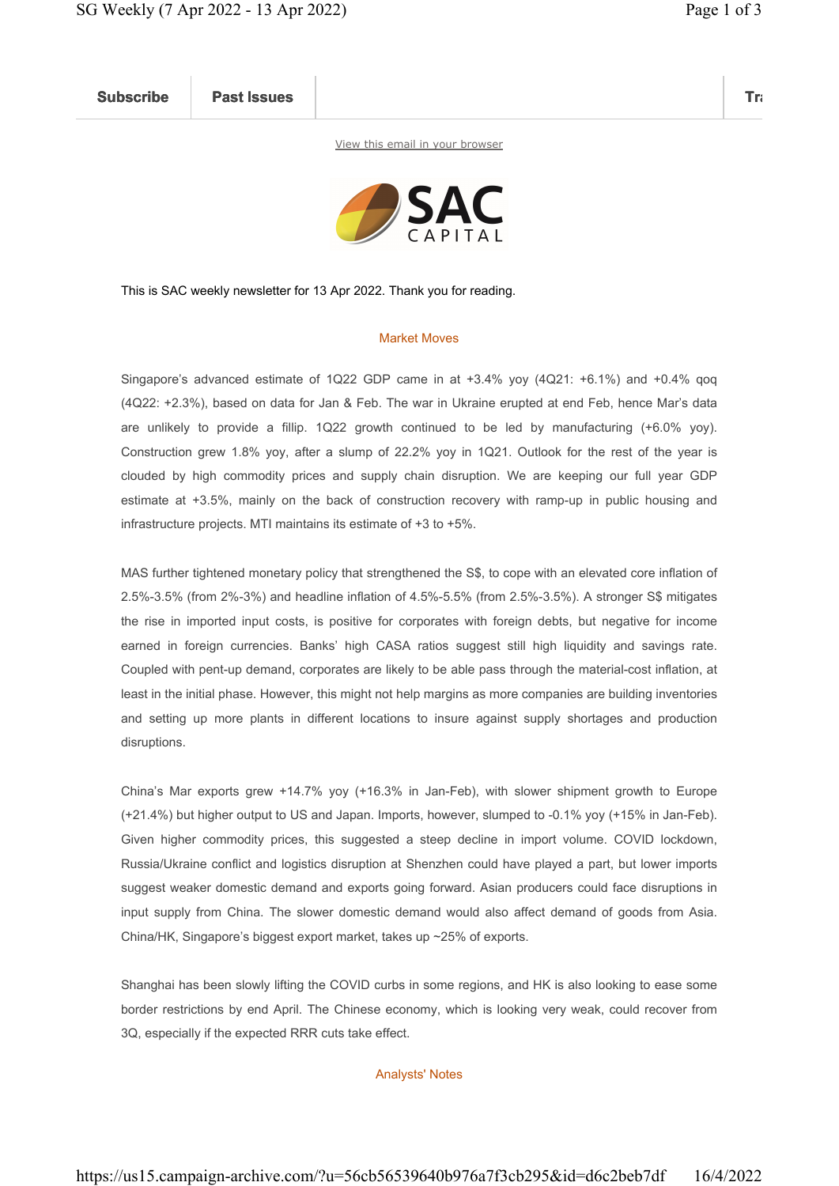Subscribe Past Issues Translate Past Issues Translate Past Issue Inc. 2014 and 2014 and 2014 and 2014 and 2014

View this email in your browser



This is SAC weekly newsletter for 13 Apr 2022. Thank you for reading.

## Market Moves

Singapore's advanced estimate of 1Q22 GDP came in at +3.4% yoy (4Q21: +6.1%) and +0.4% qoq (4Q22: +2.3%), based on data for Jan & Feb. The war in Ukraine erupted at end Feb, hence Mar's data are unlikely to provide a fillip. 1Q22 growth continued to be led by manufacturing (+6.0% yoy). Construction grew 1.8% yoy, after a slump of 22.2% yoy in 1Q21. Outlook for the rest of the year is clouded by high commodity prices and supply chain disruption. We are keeping our full year GDP estimate at +3.5%, mainly on the back of construction recovery with ramp-up in public housing and infrastructure projects. MTI maintains its estimate of +3 to +5%.

MAS further tightened monetary policy that strengthened the S\$, to cope with an elevated core inflation of 2.5%-3.5% (from 2%-3%) and headline inflation of 4.5%-5.5% (from 2.5%-3.5%). A stronger S\$ mitigates the rise in imported input costs, is positive for corporates with foreign debts, but negative for income earned in foreign currencies. Banks' high CASA ratios suggest still high liquidity and savings rate. Coupled with pent-up demand, corporates are likely to be able pass through the material-cost inflation, at least in the initial phase. However, this might not help margins as more companies are building inventories and setting up more plants in different locations to insure against supply shortages and production disruptions.

China's Mar exports grew +14.7% yoy (+16.3% in Jan-Feb), with slower shipment growth to Europe (+21.4%) but higher output to US and Japan. Imports, however, slumped to -0.1% yoy (+15% in Jan-Feb). Given higher commodity prices, this suggested a steep decline in import volume. COVID lockdown, Russia/Ukraine conflict and logistics disruption at Shenzhen could have played a part, but lower imports suggest weaker domestic demand and exports going forward. Asian producers could face disruptions in input supply from China. The slower domestic demand would also affect demand of goods from Asia. China/HK, Singapore's biggest export market, takes up ~25% of exports.

Shanghai has been slowly lifting the COVID curbs in some regions, and HK is also looking to ease some border restrictions by end April. The Chinese economy, which is looking very weak, could recover from 3Q, especially if the expected RRR cuts take effect.

## Analysts' Notes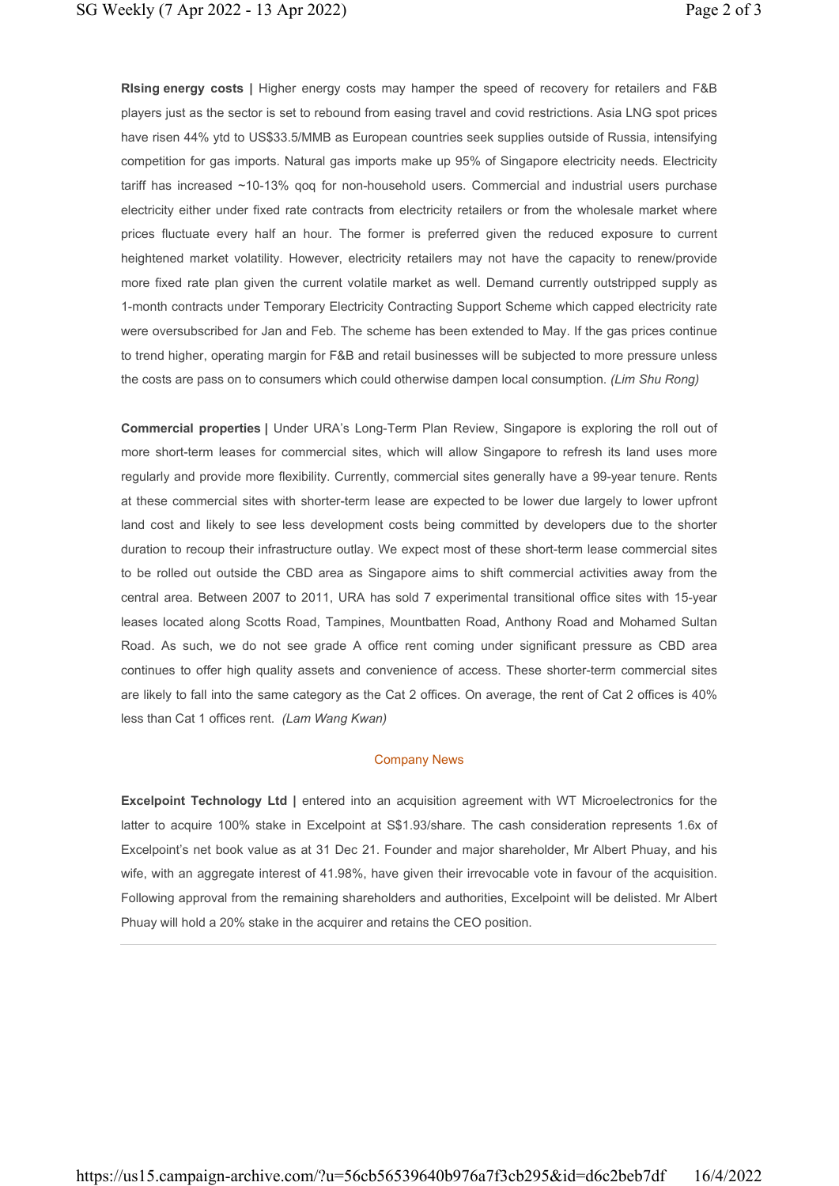RIsing energy costs | Higher energy costs may hamper the speed of recovery for retailers and F&B players just as the sector is set to rebound from easing travel and covid restrictions. Asia LNG spot prices have risen 44% ytd to US\$33.5/MMB as European countries seek supplies outside of Russia, intensifying competition for gas imports. Natural gas imports make up 95% of Singapore electricity needs. Electricity tariff has increased ~10-13% qoq for non-household users. Commercial and industrial users purchase electricity either under fixed rate contracts from electricity retailers or from the wholesale market where prices fluctuate every half an hour. The former is preferred given the reduced exposure to current heightened market volatility. However, electricity retailers may not have the capacity to renew/provide more fixed rate plan given the current volatile market as well. Demand currently outstripped supply as 1-month contracts under Temporary Electricity Contracting Support Scheme which capped electricity rate were oversubscribed for Jan and Feb. The scheme has been extended to May. If the gas prices continue to trend higher, operating margin for F&B and retail businesses will be subjected to more pressure unless the costs are pass on to consumers which could otherwise dampen local consumption. (Lim Shu Rong)

Commercial properties | Under URA's Long-Term Plan Review, Singapore is exploring the roll out of more short-term leases for commercial sites, which will allow Singapore to refresh its land uses more regularly and provide more flexibility. Currently, commercial sites generally have a 99-year tenure. Rents at these commercial sites with shorter-term lease are expected to be lower due largely to lower upfront land cost and likely to see less development costs being committed by developers due to the shorter duration to recoup their infrastructure outlay. We expect most of these short-term lease commercial sites to be rolled out outside the CBD area as Singapore aims to shift commercial activities away from the central area. Between 2007 to 2011, URA has sold 7 experimental transitional office sites with 15-year leases located along Scotts Road, Tampines, Mountbatten Road, Anthony Road and Mohamed Sultan Road. As such, we do not see grade A office rent coming under significant pressure as CBD area continues to offer high quality assets and convenience of access. These shorter-term commercial sites are likely to fall into the same category as the Cat 2 offices. On average, the rent of Cat 2 offices is 40% less than Cat 1 offices rent. (Lam Wang Kwan)

## Company News

Excelpoint Technology Ltd | entered into an acquisition agreement with WT Microelectronics for the latter to acquire 100% stake in Excelpoint at S\$1.93/share. The cash consideration represents 1.6x of Excelpoint's net book value as at 31 Dec 21. Founder and major shareholder, Mr Albert Phuay, and his wife, with an aggregate interest of 41.98%, have given their irrevocable vote in favour of the acquisition. Following approval from the remaining shareholders and authorities, Excelpoint will be delisted. Mr Albert Phuay will hold a 20% stake in the acquirer and retains the CEO position.